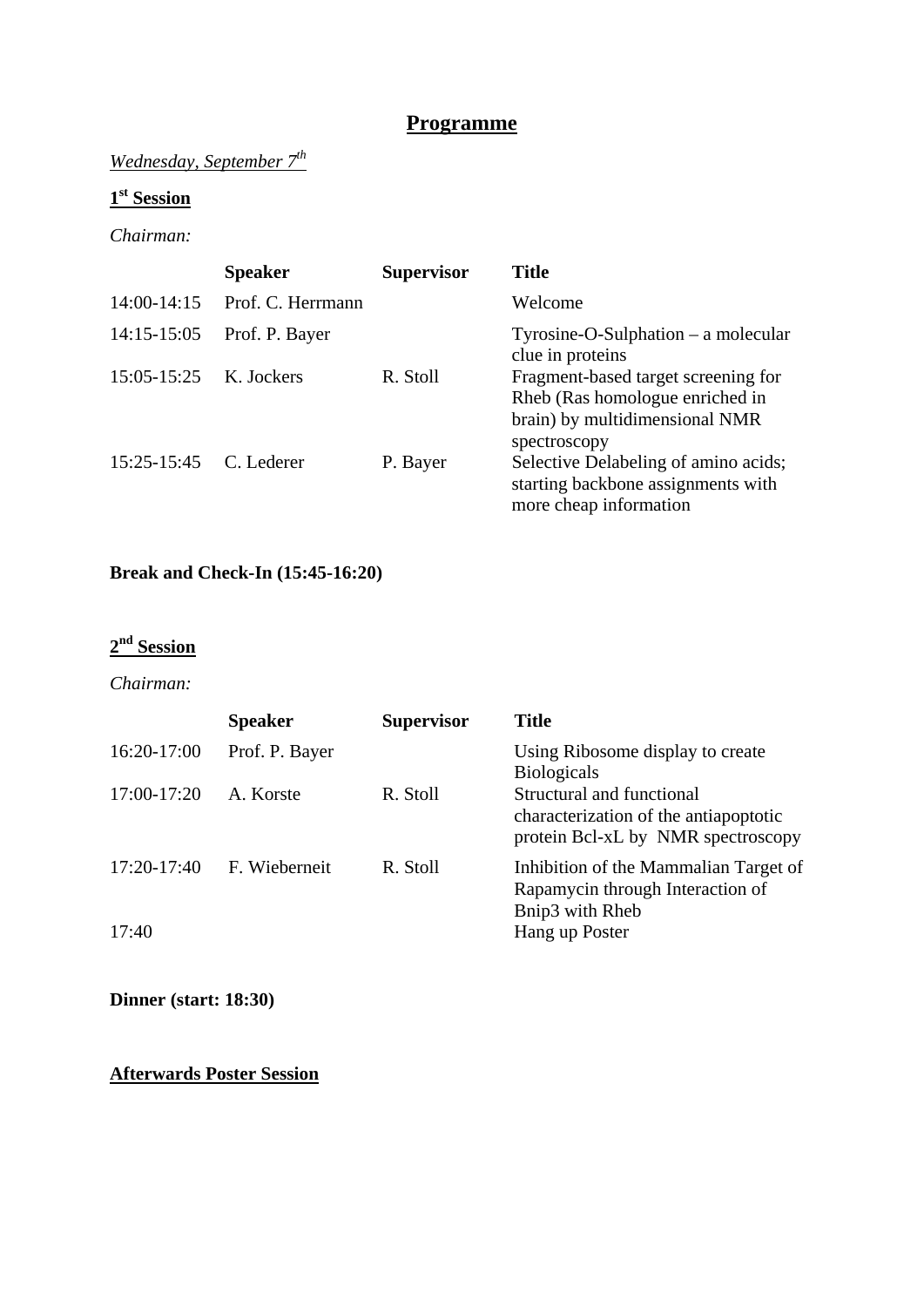## **Programme**

## *Wednesday, September 7th*

## **1st Session**

#### *Chairman:*

|                        | <b>Speaker</b>    | <b>Supervisor</b> | <b>Title</b>                                                                                                             |
|------------------------|-------------------|-------------------|--------------------------------------------------------------------------------------------------------------------------|
| $14:00-14:15$          | Prof. C. Herrmann |                   | Welcome                                                                                                                  |
| $14:15-15:05$          | Prof. P. Bayer    |                   | $Ty$ rosine-O-Sulphation – a molecular<br>clue in proteins                                                               |
| 15:05-15:25            | K. Jockers        | R. Stoll          | Fragment-based target screening for<br>Rheb (Ras homologue enriched in<br>brain) by multidimensional NMR<br>spectroscopy |
| 15:25-15:45 C. Lederer |                   | P. Bayer          | Selective Delabeling of amino acids;<br>starting backbone assignments with<br>more cheap information                     |

## **Break and Check-In (15:45-16:20)**

## **2nd Session**

#### *Chairman:*

|               | <b>Speaker</b> | <b>Supervisor</b> | <b>Title</b>                                                                                             |
|---------------|----------------|-------------------|----------------------------------------------------------------------------------------------------------|
| 16:20-17:00   | Prof. P. Bayer |                   | Using Ribosome display to create<br><b>Biologicals</b>                                                   |
| 17:00-17:20   | A. Korste      | R. Stoll          | Structural and functional<br>characterization of the antiapoptotic<br>protein Bcl-xL by NMR spectroscopy |
| $17:20-17:40$ | F. Wieberneit  | R. Stoll          | Inhibition of the Mammalian Target of<br>Rapamycin through Interaction of<br>Bnip3 with Rheb             |
| 17:40         |                |                   | Hang up Poster                                                                                           |

#### **Dinner (start: 18:30)**

#### **Afterwards Poster Session**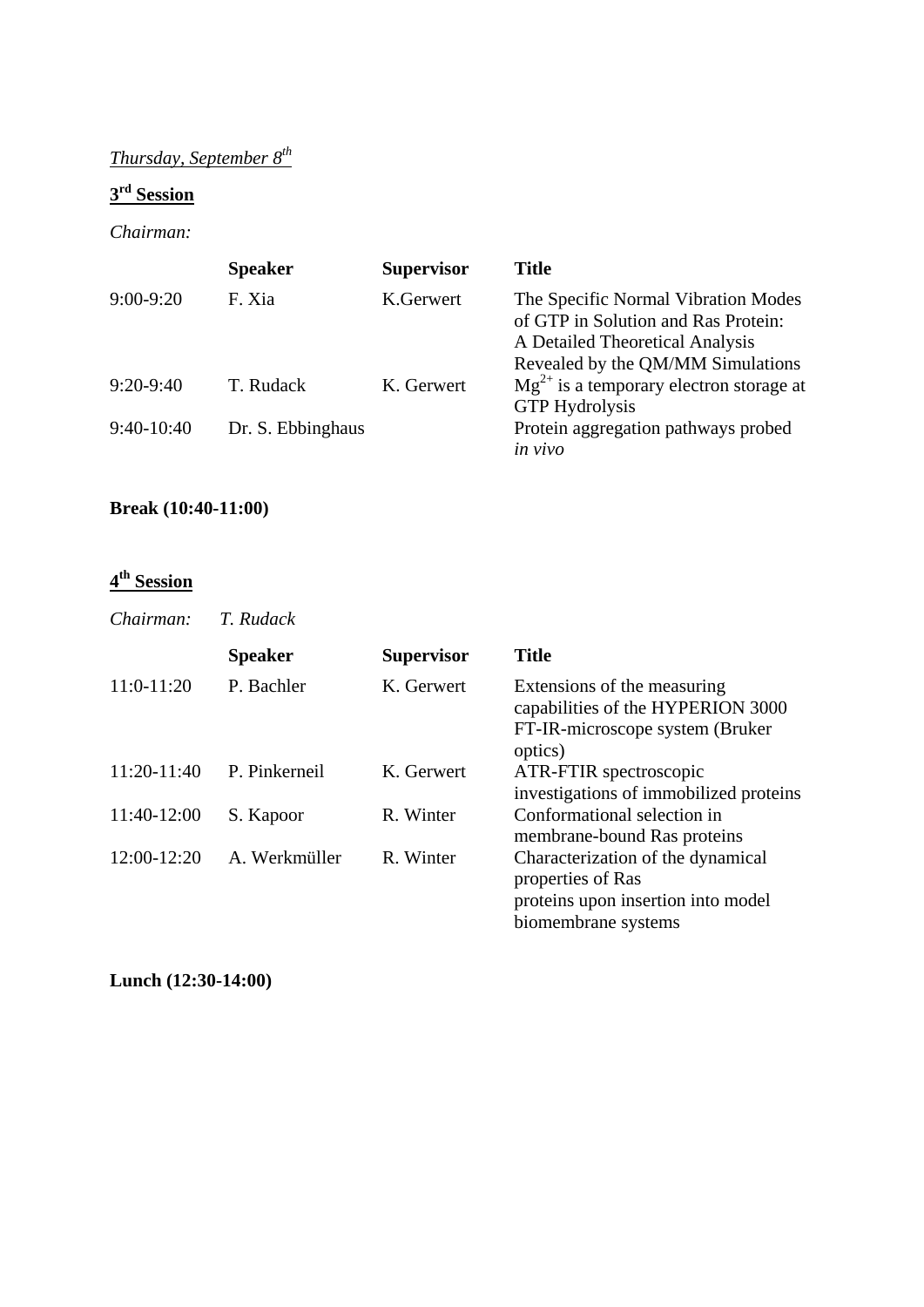# *Thursday, September 8th*

## **3rd Session**

#### *Chairman:*

|               | <b>Speaker</b>    | <b>Supervisor</b> | <b>Title</b>                                                                                                  |
|---------------|-------------------|-------------------|---------------------------------------------------------------------------------------------------------------|
| $9:00 - 9:20$ | F. Xia            | K.Gerwert         | The Specific Normal Vibration Modes<br>of GTP in Solution and Ras Protein:<br>A Detailed Theoretical Analysis |
| $9:20-9:40$   | T. Rudack         | K. Gerwert        | Revealed by the QM/MM Simulations<br>$Mg^{2+}$ is a temporary electron storage at<br><b>GTP</b> Hydrolysis    |
| $9:40-10:40$  | Dr. S. Ebbinghaus |                   | Protein aggregation pathways probed<br>in vivo                                                                |

## **Break (10:40-11:00)**

#### **4th Session**

| Chairman:     | T. Rudack      |                   |                                                                                                                     |
|---------------|----------------|-------------------|---------------------------------------------------------------------------------------------------------------------|
|               | <b>Speaker</b> | <b>Supervisor</b> | <b>Title</b>                                                                                                        |
| $11:0-11:20$  | P. Bachler     | K. Gerwert        | Extensions of the measuring<br>capabilities of the HYPERION 3000<br>FT-IR-microscope system (Bruker)<br>optics)     |
| $11:20-11:40$ | P. Pinkerneil  | K. Gerwert        | ATR-FTIR spectroscopic<br>investigations of immobilized proteins                                                    |
| 11:40-12:00   | S. Kapoor      | R. Winter         | Conformational selection in<br>membrane-bound Ras proteins                                                          |
| 12:00-12:20   | A. Werkmüller  | R. Winter         | Characterization of the dynamical<br>properties of Ras<br>proteins upon insertion into model<br>biomembrane systems |

**Lunch (12:30-14:00)**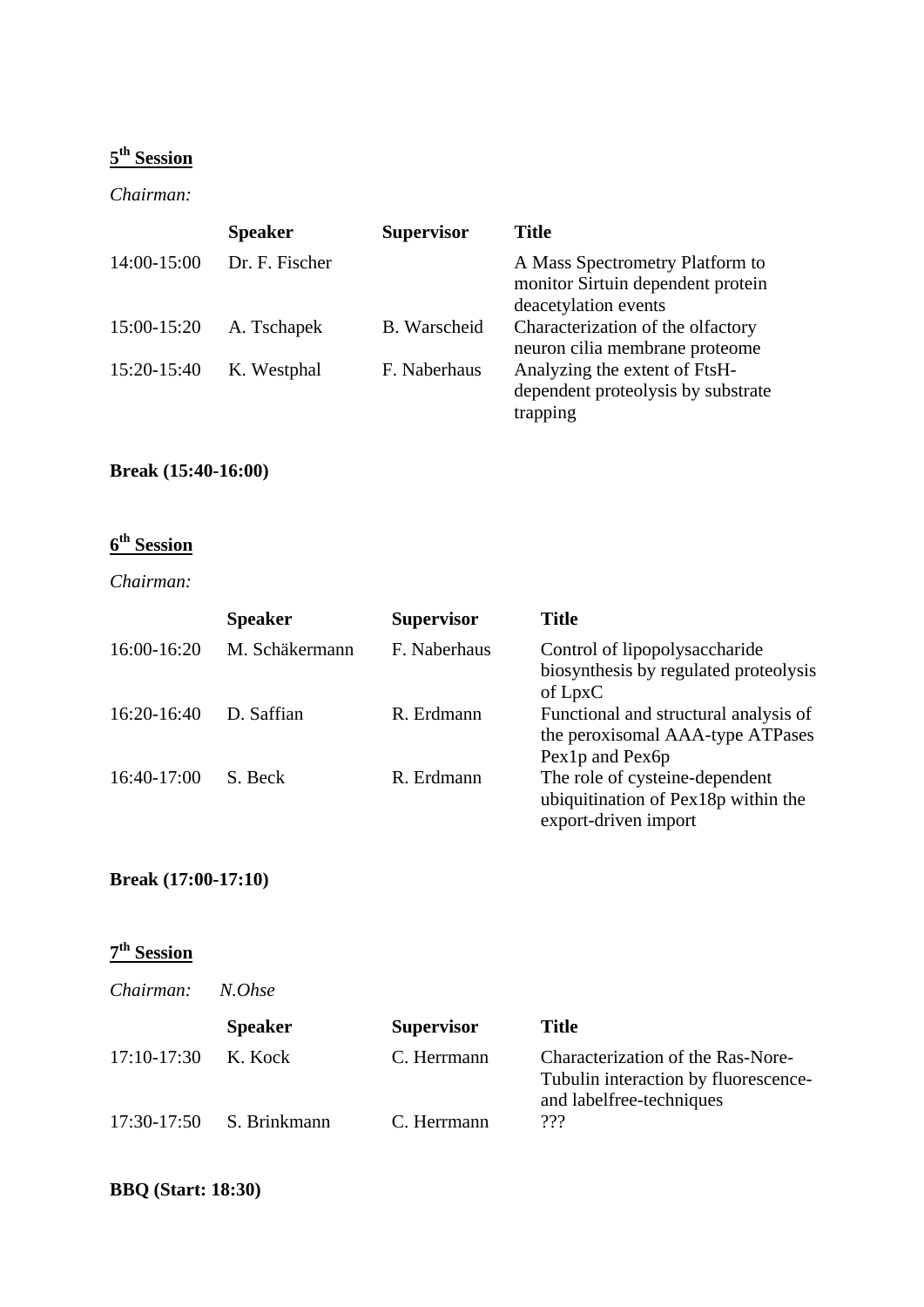## **5th Session**

#### *Chairman:*

|             | <b>Speaker</b> | <b>Supervisor</b> | <b>Title</b>                                                                                 |
|-------------|----------------|-------------------|----------------------------------------------------------------------------------------------|
| 14:00-15:00 | Dr. F. Fischer |                   | A Mass Spectrometry Platform to<br>monitor Sirtuin dependent protein<br>deacetylation events |
| 15:00-15:20 | A. Tschapek    | B. Warscheid      | Characterization of the olfactory<br>neuron cilia membrane proteome                          |
| 15:20-15:40 | K. Westphal    | F. Naberhaus      | Analyzing the extent of FtsH-<br>dependent proteolysis by substrate<br>trapping              |

## **Break (15:40-16:00)**

# **6th Session**

#### *Chairman:*

|             | <b>Speaker</b> | <b>Supervisor</b> | <b>Title</b>                                                                                  |
|-------------|----------------|-------------------|-----------------------------------------------------------------------------------------------|
| 16:00-16:20 | M. Schäkermann | F. Naberhaus      | Control of lipopolysaccharide<br>biosynthesis by regulated proteolysis<br>of LpxC             |
| 16:20-16:40 | D. Saffian     | R. Erdmann        | Functional and structural analysis of<br>the peroxisomal AAA-type ATPases<br>Pex1p and Pex6p  |
| 16:40-17:00 | S. Beck        | R. Erdmann        | The role of cysteine-dependent<br>ubiquitination of Pex18p within the<br>export-driven import |

## **Break (17:00-17:10)**

## **7th Session**

| Chairman:     | N.Ohse         |                   |                                                                                                       |
|---------------|----------------|-------------------|-------------------------------------------------------------------------------------------------------|
|               | <b>Speaker</b> | <b>Supervisor</b> | <b>Title</b>                                                                                          |
| $17:10-17:30$ | K. Kock        | C. Herrmann       | Characterization of the Ras-Nore-<br>Tubulin interaction by fluorescence-<br>and labelfree-techniques |
| 17:30-17:50   | S. Brinkmann   | C. Herrmann       | ???                                                                                                   |

## **BBQ (Start: 18:30)**